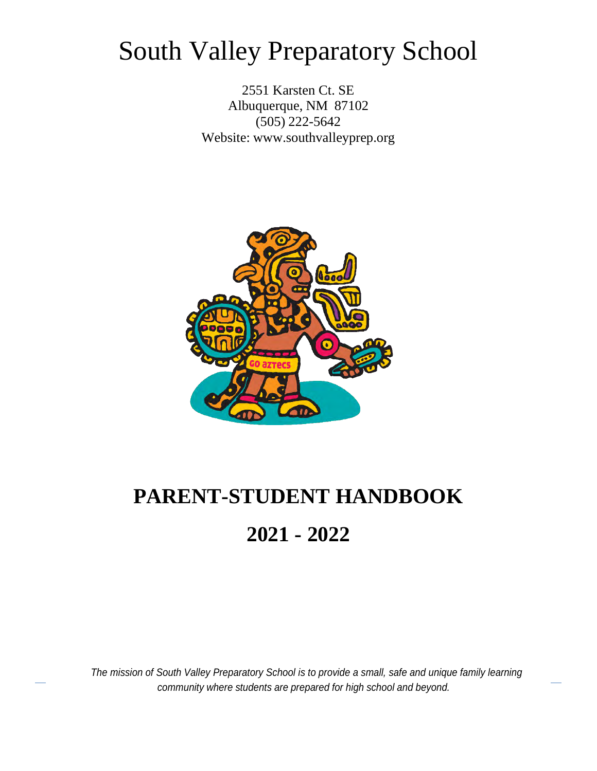# South Valley Preparatory School

2551 Karsten Ct. SE Albuquerque, NM 87102 (505) 222-5642 Website: [www.southvalleyprep.org](http://www.southvalleyprep.org/)



# **PARENT-STUDENT HANDBOOK 2021 - 2022**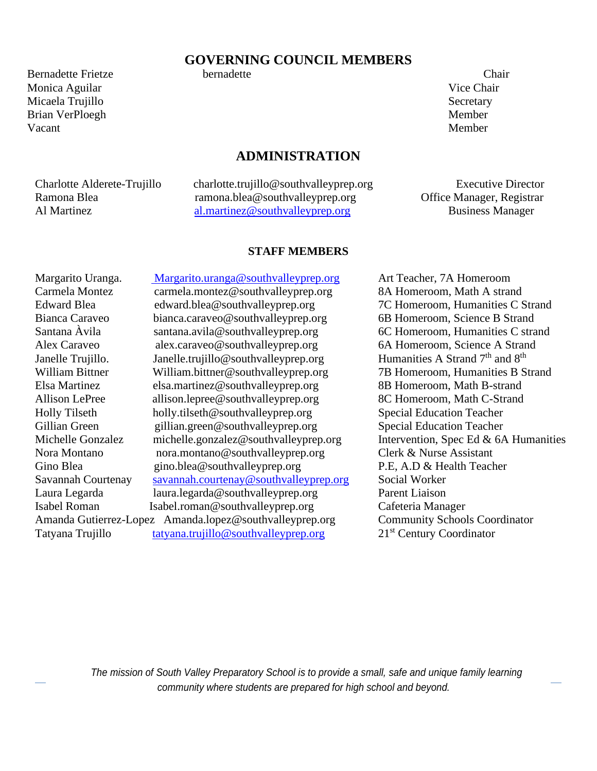#### **GOVERNING COUNCIL MEMBERS**

Bernadette Frietze bernadette Chair Monica Aguilar Vice Chair Micaela Trujillo Secretary and Secretary Secretary Secretary Secretary Secretary Secretary Secretary Secretary Brian VerPloegh Member Vacant Member

#### **ADMINISTRATION**

Charlotte Alderete-Trujillo charlotte.trujillo@southvalleyprep.org Executive Director Ramona Blea ramona.blea@southvalleyprep.org Office Manager, Registrar<br>Al Martinez al martinez@southvalleyprep.org Business Manager [al.martinez@southvalleyprep.org](mailto:al.martinez@southvalleyprep.org) Business Manager

#### **STAFF MEMBERS**

Margarito Uranga. [Margarito.uranga@southvalleyprep.org](mailto:%20Margarito.uranga@southvalleyprep.org) Art Teacher, 7A Homeroom Carmela Montez carmela.montez@southvalleyprep.org 8A Homeroom, Math A strand Edward Blea edward.blea@southvalleyprep.org 7C Homeroom, Humanities C Strand Bianca Caraveo bianca.caraveo@southvalleyprep.org 6B Homeroom, Science B Strand Santana Àvila santana.avila@southvalleyprep.org 6C Homeroom, Humanities C strand Alex Caraveo alex.caraveo@southvalleyprep.org 6A Homeroom, Science A Strand Janelle Trujillo. Janelle.trujillo@southvalleyprep.org Humanities A Strand  $7<sup>th</sup>$  and  $8<sup>th</sup>$ William Bittner William.bittner@southvalleyprep.org 7B Homeroom, Humanities B Strand Elsa Martinez elsa.martinez@southvalleyprep.org 8B Homeroom, Math B-strand Allison LePree allison.lepree@southvalleyprep.org 8C Homeroom, Math C-Strand Holly Tilseth holly.tilseth@southvalleyprep.org Special Education Teacher Gillian Green gillian.green@southvalleyprep.org Special Education Teacher Michelle Gonzalez michelle.gonzalez@southvalleyprep.org Intervention, Spec Ed & 6A Humanities Nora Montano nora.montano@southvalleyprep.org Clerk & Nurse Assistant Gino Blea gino.blea@southvalleyprep.org P.E, A.D & Health Teacher Savannah Courtenay [savannah.courtenay@southvalleyprep.org](mailto:savannah.courtenay@southvalleyprep.org) Social Worker Laura Legarda laura.legarda@southvalleyprep.org Parent Liaison Isabel Roman Isabel.roman@southvalleyprep.org Cafeteria Manager Amanda Gutierrez-Lopez Amanda.lopez@southvalleyprep.org Community Schools Coordinator Tatyana Trujillo [tatyana.trujillo@southvalleyprep.org](mailto:tatyana.trujillo@southvalleyprep.org) 21<sup>st</sup> Century Coordinator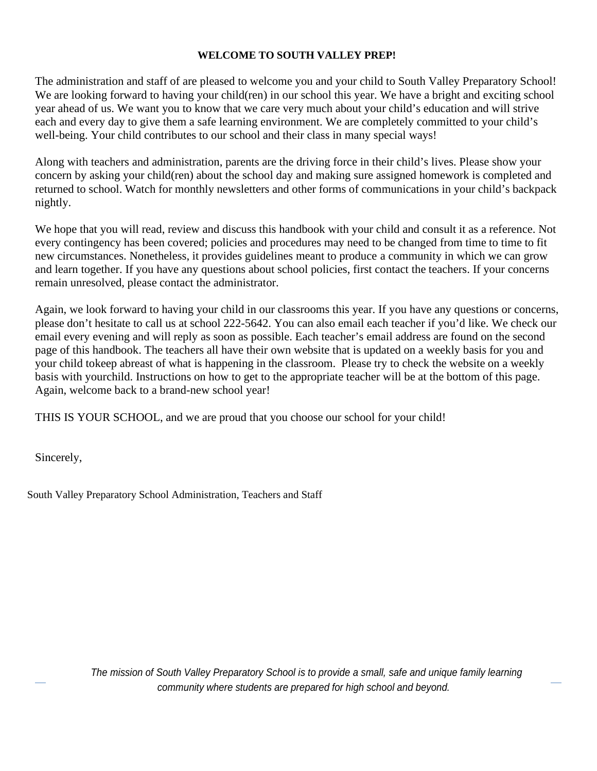#### **WELCOME TO SOUTH VALLEY PREP!**

The administration and staff of are pleased to welcome you and your child to South Valley Preparatory School! We are looking forward to having your child(ren) in our school this year. We have a bright and exciting school year ahead of us. We want you to know that we care very much about your child's education and will strive each and every day to give them a safe learning environment. We are completely committed to your child's well-being. Your child contributes to our school and their class in many special ways!

Along with teachers and administration, parents are the driving force in their child's lives. Please show your concern by asking your child(ren) about the school day and making sure assigned homework is completed and returned to school. Watch for monthly newsletters and other forms of communications in your child's backpack nightly.

We hope that you will read, review and discuss this handbook with your child and consult it as a reference. Not every contingency has been covered; policies and procedures may need to be changed from time to time to fit new circumstances. Nonetheless, it provides guidelines meant to produce a community in which we can grow and learn together. If you have any questions about school policies, first contact the teachers. If your concerns remain unresolved, please contact the administrator.

Again, we look forward to having your child in our classrooms this year. If you have any questions or concerns, please don't hesitate to call us at school 222-5642. You can also email each teacher if you'd like. We check our email every evening and will reply as soon as possible. Each teacher's email address are found on the second page of this handbook. The teachers all have their own website that is updated on a weekly basis for you and your child to keep abreast of what is happening in the classroom. Please try to check the website on a weekly basis with your child. Instructions on how to get to the appropriate teacher will be at the bottom of this page. Again, welcome back to a brand-new school year!

THIS IS YOUR SCHOOL, and we are proud that you choose our school for your child!

Sincerely,

South Valley Preparatory School Administration, Teachers and Staff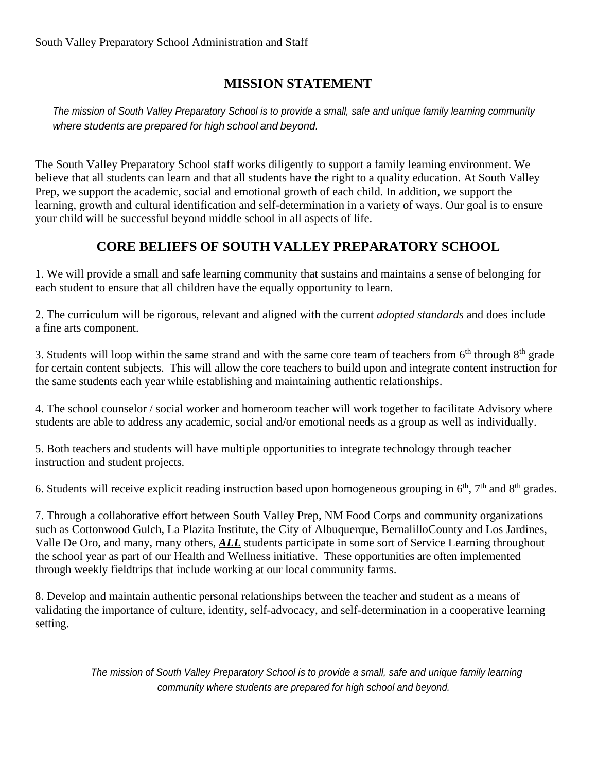# **MISSION STATEMENT**

*The mission of South Valley Preparatory School is to provide a small, safe and unique family learning community where students are prepared for high school and beyond.*

The South Valley Preparatory School staff works diligently to support a family learning environment. We believe that all students can learn and that all students have the right to a quality education. At South Valley Prep, we support the academic, social and emotional growth of each child. In addition, we support the learning, growth and cultural identification and self-determination in a variety of ways. Our goal is to ensure your child will be successful beyond middle school in all aspects of life.

# **CORE BELIEFS OF SOUTH VALLEY PREPARATORY SCHOOL**

1. We will provide a small and safe learning community that sustains and maintains a sense of belonging for each student to ensure that all children have the equally opportunity to learn.

2. The curriculum will be rigorous, relevant and aligned with the current *adopted standards* and does include a fine arts component.

3. Students will loop within the same strand and with the same core team of teachers from  $6<sup>th</sup>$  through  $8<sup>th</sup>$  grade for certain content subjects. This will allow the core teachers to build upon and integrate content instruction for the same students each year while establishing and maintaining authentic relationships.

4. The school counselor / social worker and homeroom teacher will work together to facilitate Advisory where students are able to address any academic, social and/or emotional needs as a group as well as individually.

5. Both teachers and students will have multiple opportunities to integrate technology through teacher instruction and student projects.

6. Students will receive explicit reading instruction based upon homogeneous grouping in  $6<sup>th</sup>$ ,  $7<sup>th</sup>$  and  $8<sup>th</sup>$  grades.

7. Through a collaborative effort between South Valley Prep, NM Food Corps and community organizations such as Cottonwood Gulch, La Plazita Institute, the City of Albuquerque, Bernalillo County and Los Jardines, Valle De Oro, and many, many others, *ALL* students participate in some sort of Service Learning throughout the school year as part of our Health and Wellness initiative. These opportunities are often implemented through weekly fieldtrips that include working at our local community farms.

8. Develop and maintain authentic personal relationships between the teacher and student as a means of validating the importance of culture, identity, self-advocacy, and self-determination in a cooperative learning setting.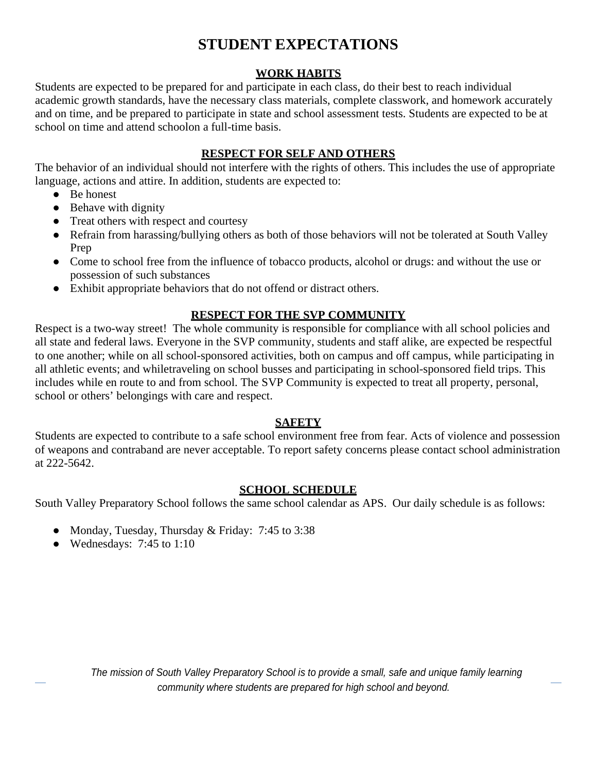# **STUDENT EXPECTATIONS**

#### **WORK HABITS**

Students are expected to be prepared for and participate in each class, do their best to reach individual academic growth standards, have the necessary class materials, complete classwork, and homework accurately and on time, and be prepared to participate in state and school assessment tests. Students are expected to be at school on time and attend schoolon a full-time basis.

#### **RESPECT FOR SELF AND OTHERS**

The behavior of an individual should not interfere with the rights of others. This includes the use of appropriate language, actions and attire. In addition, students are expected to:

- Be honest
- Behave with dignity
- Treat others with respect and courtesy
- Refrain from harassing/bullying others as both of those behaviors will not be tolerated at South Valley Prep
- Come to school free from the influence of tobacco products, alcohol or drugs: and without the use or possession of such substances
- Exhibit appropriate behaviors that do not offend or distract others.

### **RESPECT FOR THE SVP COMMUNITY**

Respect is a two-way street! The whole community is responsible for compliance with all school policies and all state and federal laws. Everyone in the SVP community, students and staff alike, are expected be respectful to one another; while on all school-sponsored activities, both on campus and off campus, while participating in all athletic events; and while traveling on school busses and participating in school-sponsored field trips. This includes while en route to and from school. The SVP Community is expected to treat all property, personal, school or others' belongings with care and respect.

#### **SAFETY**

Students are expected to contribute to a safe school environment free from fear. Acts of violence and possession of weapons and contraband are never acceptable. To report safety concerns please contact school administration at 222-5642.

#### **SCHOOL SCHEDULE**

South Valley Preparatory School follows the same school calendar as APS. Our daily schedule is as follows:

- Monday, Tuesday, Thursday & Friday: 7:45 to 3:38
- Wednesdays:  $7:45$  to  $1:10$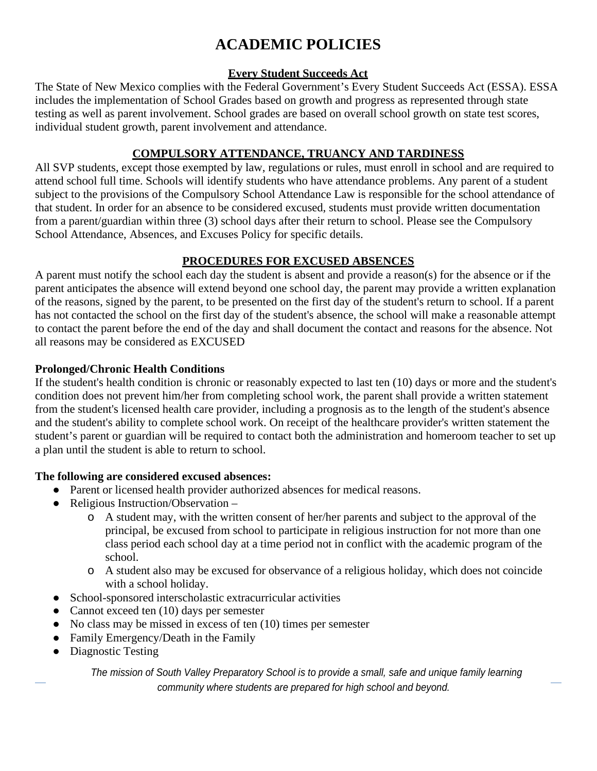# **ACADEMIC POLICIES**

#### **Every Student Succeeds Act**

The State of New Mexico complies with the Federal Government's Every Student Succeeds Act (ESSA). ESSA includes the implementation of School Grades based on growth and progress as represented through state testing as well as parent involvement. School grades are based on overall school growth on state test scores, individual student growth, parent involvement and attendance.

#### **COMPULSORY ATTENDANCE, TRUANCY AND TARDINESS**

All SVP students, except those exempted by law, regulations or rules, must enroll in school and are required to attend school full time. Schools will identify students who have attendance problems. Any parent of a student subject to the provisions of the Compulsory School Attendance Law is responsible for the school attendance of that student. In order for an absence to be considered excused, students must provide written documentation from a parent/guardian within three (3) school days after their return to school. Please see the Compulsory School Attendance, Absences, and Excuses Policy for specific details.

# **PROCEDURES FOR EXCUSED ABSENCES**

A parent must notify the school each day the student is absent and provide a reason(s) for the absence or if the parent anticipates the absence will extend beyond one school day, the parent may provide a written explanation of the reasons, signed by the parent, to be presented on the first day of the student's return to school. If a parent has not contacted the school on the first day of the student's absence, the school will make a reasonable attempt to contact the parent before the end of the day and shall document the contact and reasons for the absence. Not all reasons may be considered as EXCUSED

#### **Prolonged/Chronic Health Conditions**

If the student's health condition is chronic or reasonably expected to last ten (10) days or more and the student's condition does not prevent him/her from completing school work, the parent shall provide a written statement from the student's licensed health care provider, including a prognosis as to the length of the student's absence and the student's ability to complete school work. On receipt of the healthcare provider's written statement the student's parent or guardian will be required to contact both the administration and homeroom teacher to set up a plan until the student is able to return to school.

### **The following are considered excused absences:**

- Parent or licensed health provider authorized absences for medical reasons.
- Religious Instruction/Observation
	- o A student may, with the written consent of her/her parents and subject to the approval of the principal, be excused from school to participate in religious instruction for not more than one class period each school day at a time period not in conflict with the academic program of the school.
	- o A student also may be excused for observance of a religious holiday, which does not coincide with a school holiday.
- School-sponsored interscholastic extracurricular activities
- Cannot exceed ten (10) days per semester
- No class may be missed in excess of ten (10) times per semester
- Family Emergency/Death in the Family
- Diagnostic Testing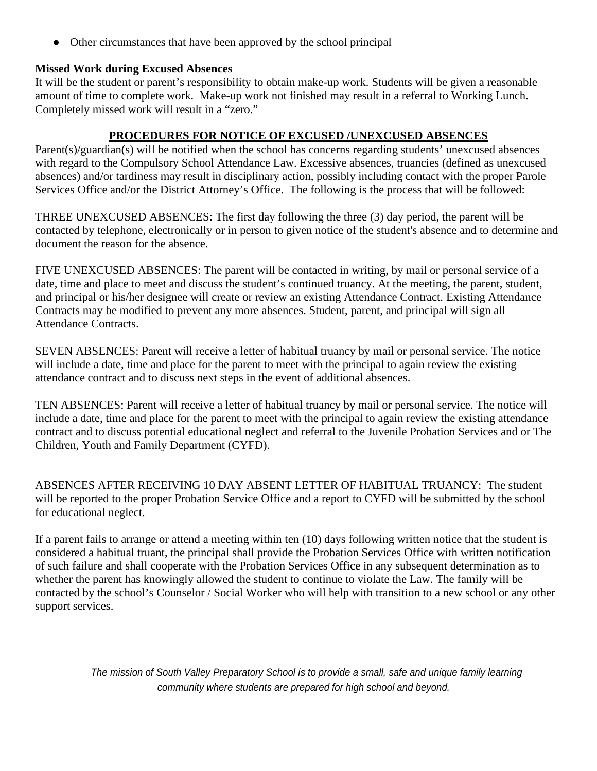• Other circumstances that have been approved by the school principal

#### **Missed Work during Excused Absences**

It will be the student or parent's responsibility to obtain make-up work. Students will be given a reasonable amount of time to complete work. Make-up work not finished may result in a referral to Working Lunch. Completely missed work will result in a "zero."

#### **PROCEDURES FOR NOTICE OF EXCUSED /UNEXCUSED ABSENCES**

Parent(s)/guardian(s) will be notified when the school has concerns regarding students' unexcused absences with regard to the Compulsory School Attendance Law. Excessive absences, truancies (defined as unexcused absences) and/or tardiness may result in disciplinary action, possibly including contact with the proper Parole Services Office and/or the District Attorney's Office. The following is the process that will be followed:

THREE UNEXCUSED ABSENCES: The first day following the three (3) day period, the parent will be contacted by telephone, electronically or in person to given notice of the student's absence and to determine and document the reason for the absence.

FIVE UNEXCUSED ABSENCES: The parent will be contacted in writing, by mail or personal service of a date, time and place to meet and discuss the student's continued truancy. At the meeting, the parent, student, and principal or his/her designee will create or review an existing Attendance Contract. Existing Attendance Contracts may be modified to prevent any more absences. Student, parent, and principal will sign all Attendance Contracts.

SEVEN ABSENCES: Parent will receive a letter of habitual truancy by mail or personal service. The notice will include a date, time and place for the parent to meet with the principal to again review the existing attendance contract and to discuss next steps in the event of additional absences.

TEN ABSENCES: Parent will receive a letter of habitual truancy by mail or personal service. The notice will include a date, time and place for the parent to meet with the principal to again review the existing attendance contract and to discuss potential educational neglect and referral to the Juvenile Probation Services and or The Children, Youth and Family Department (CYFD).

ABSENCES AFTER RECEIVING 10 DAY ABSENT LETTER OF HABITUAL TRUANCY: The student will be reported to the proper Probation Service Office and a report to CYFD will be submitted by the school for educational neglect.

If a parent fails to arrange or attend a meeting within ten (10) days following written notice that the student is considered a habitual truant, the principal shall provide the Probation Services Office with written notification of such failure and shall cooperate with the Probation Services Office in any subsequent determination as to whether the parent has knowingly allowed the student to continue to violate the Law. The family will be contacted by the school's Counselor / Social Worker who will help with transition to a new school or any other support services.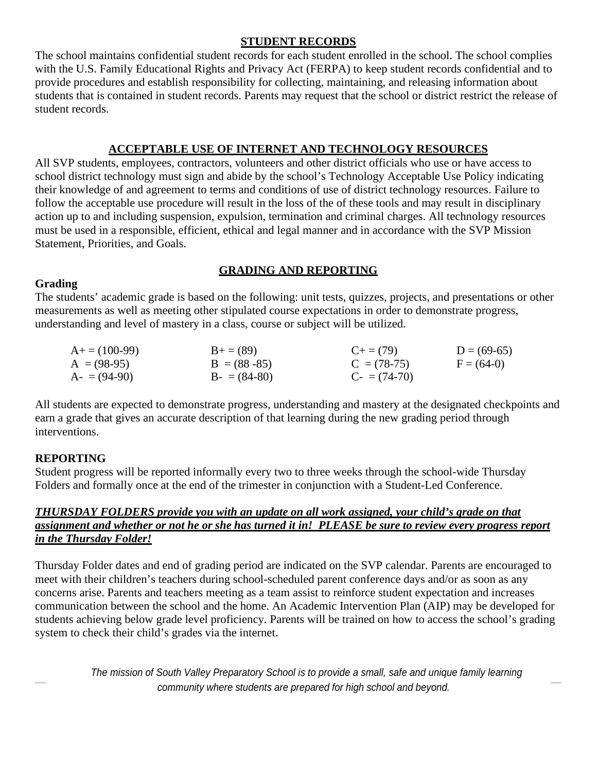#### **STUDENT RECORDS**

The school maintains confidential student records for each student enrolled in the school. The school complies with the U.S. Family Educational Rights and Privacy Act (FERPA) to keep student records confidential and to provide procedures and establish responsibility for collecting, maintaining, and releasing information about students that is contained in student records. Parents may request that the school or district restrict the release of student records.

#### **ACCEPTABLE USE OF INTERNET AND TECHNOLOGY RESOURCES**

All SVP students, employees, contractors, volunteers and other district officials who use or have access to school district technology must sign and abide by the school's Technology Acceptable Use Policy indicating their knowledge of and agreement to terms and conditions of use of district technology resources. Failure to follow the acceptable use procedure will result in the loss of the of these tools and may result in disciplinary action up to and including suspension, expulsion, termination and criminal charges. All technology resources must be used in a responsible, efficient, ethical and legal manner and in accordance with the SVP Mission Statement, Priorities, and Goals.

#### **GRADING AND REPORTING**

#### **Grading**

The students' academic grade is based on the following: unit tests, quizzes, projects, and presentations or other measurements as well as meeting other stipulated course expectations in order to demonstrate progress, understanding and level of mastery in a class, course or subject will be utilized.

| $A+=$ (100-99) | $B+=$ (89)      | $C_{\pm} = (79)$  | $D = (69-65)$ |
|----------------|-----------------|-------------------|---------------|
| $A = (98-95)$  | $B = (88 - 85)$ | $C = (78-75)$     | $F = (64-0)$  |
| $A = (94-90)$  | $B - (84-80)$   | $C_{-} = (74-70)$ |               |

All students are expected to demonstrate progress, understanding and mastery at the designated checkpoints and earn a grade that gives an accurate description of that learning during the new grading period through interventions.

### **REPORTING**

Student progress will be reported informally every two to three weeks through the school-wide Thursday Folders and formally once at the end of the trimester in conjunction with a Student-Led Conference.

#### *THURSDAY FOLDERS provide you with an update on all work assigned, your child's grade on that assignment and whether or not he or she has turned it in! PLEASE be sure to review every progress report in the Thursday Folder!*

Thursday Folder dates and end of grading period are indicated on the SVP calendar. Parents are encouraged to meet with their children's teachers during school-scheduled parent conference days and/or as soon as any concerns arise. Parents and teachers meeting as a team assist to reinforce student expectation and increases communication between the school and the home. An Academic Intervention Plan (AIP) may be developed for students achieving below grade level proficiency. Parents will be trained on how to access the school's grading system to check their child's grades via the internet.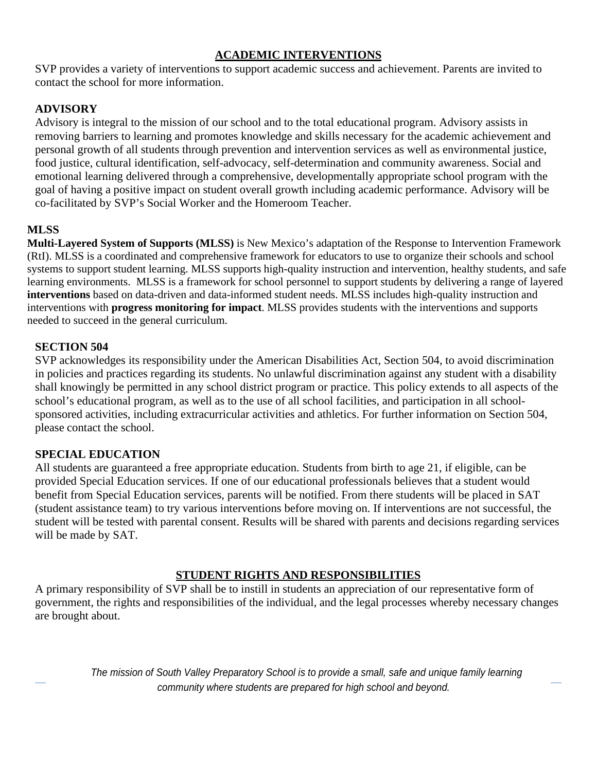#### **ACADEMIC INTERVENTIONS**

SVP provides a variety of interventions to support academic success and achievement. Parents are invited to contact the school for more information.

#### **ADVISORY**

Advisory is integral to the mission of our school and to the total educational program. Advisory assists in removing barriers to learning and promotes knowledge and skills necessary for the academic achievement and personal growth of all students through prevention and intervention services as well as environmental justice, food justice, cultural identification, self-advocacy, self-determination and community awareness. Social and emotional learning delivered through a comprehensive, developmentally appropriate school program with the goal of having a positive impact on student overall growth including academic performance. Advisory will be co-facilitated by SVP's Social Worker and the Homeroom Teacher.

#### **MLSS**

**Multi-Layered System of Supports (MLSS)** is New Mexico's adaptation of the Response to Intervention Framework (RtI). MLSS is a coordinated and comprehensive framework for educators to use to organize their schools and school systems to support student learning. MLSS supports high-quality instruction and intervention, healthy students, and safe learning environments. MLSS is a framework for school personnel to support students by delivering a range of layered **interventions** based on data-driven and data-informed student needs. MLSS includes high-quality instruction and interventions with **progress monitoring for impact**. MLSS provides students with the interventions and supports needed to succeed in the general curriculum.

#### **SECTION 504**

SVP acknowledges its responsibility under the American Disabilities Act, Section 504, to avoid discrimination in policies and practices regarding its students. No unlawful discrimination against any student with a disability shall knowingly be permitted in any school district program or practice. This policy extends to all aspects of the school's educational program, as well as to the use of all school facilities, and participation in all schoolsponsored activities, including extracurricular activities and athletics. For further information on Section 504, please contact the school.

#### **SPECIAL EDUCATION**

All students are guaranteed a free appropriate education. Students from birth to age 21, if eligible, can be provided Special Education services. If one of our educational professionals believes that a student would benefit from Special Education services, parents will be notified. From there students will be placed in SAT (student assistance team) to try various interventions before moving on. If interventions are not successful, the student will be tested with parental consent. Results will be shared with parents and decisions regarding services will be made by SAT.

#### **STUDENT RIGHTS AND RESPONSIBILITIES**

A primary responsibility of SVP shall be to instill in students an appreciation of our representative form of government, the rights and responsibilities of the individual, and the legal processes whereby necessary changes are brought about.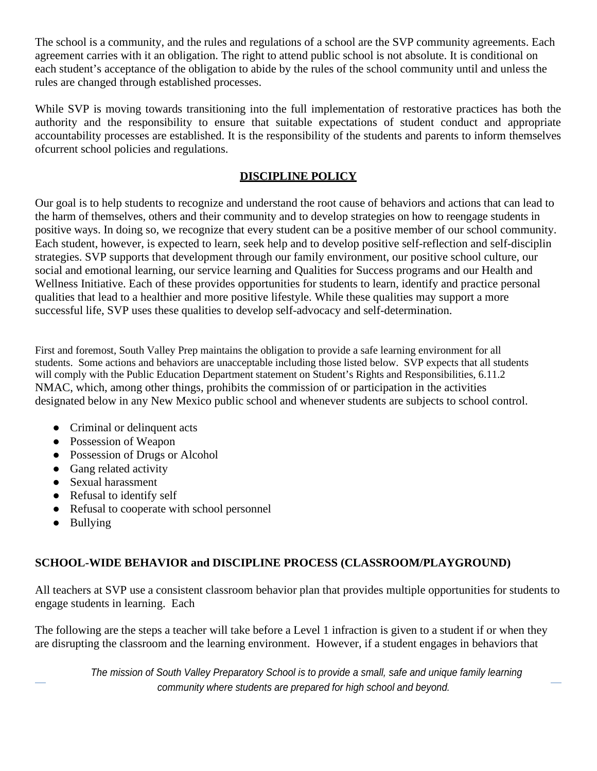The school is a community, and the rules and regulations of a school are the SVP community agreements. Each agreement carries with it an obligation. The right to attend public school is not absolute. It is conditional on each student's acceptance of the obligation to abide by the rules of the school community until and unless the rules are changed through established processes.

While SVP is moving towards transitioning into the full implementation of restorative practices has both the authority and the responsibility to ensure that suitable expectations of student conduct and appropriate accountability processes are established. It is the responsibility of the students and parents to inform themselves of current school policies and regulations.

### **DISCIPLINE POLICY**

Our goal is to help students to recognize and understand the root cause of behaviors and actions that can lead to the harm of themselves, others and their community and to develop strategies on how to reengage students in positive ways. In doing so, we recognize that every student can be a positive member of our school community. Each student, however, is expected to learn, seek help and to develop positive self-reflection and self-disciplin strategies. SVP supports that development through our family environment, our positive school culture, our social and emotional learning, our service learning and Qualities for Success programs and our Health and Wellness Initiative. Each of these provides opportunities for students to learn, identify and practice personal qualities that lead to a healthier and more positive lifestyle. While these qualities may support a more successful life, SVP uses these qualities to develop self-advocacy and self-determination.

First and foremost, South Valley Prep maintains the obligation to provide a safe learning environment for all students. Some actions and behaviors are unacceptable including those listed below. SVP expects that all students will comply with the Public Education Department statement on Student's Rights and Responsibilities, 6.11.2 NMAC, which, among other things, prohibits the commission of or participation in the activities designated below in any New Mexico public school and whenever students are subjects to school control.

- Criminal or delinquent acts
- Possession of Weapon
- Possession of Drugs or Alcohol
- Gang related activity
- Sexual harassment
- Refusal to identify self
- Refusal to cooperate with school personnel
- Bullying

### **SCHOOL-WIDE BEHAVIOR and DISCIPLINE PROCESS (CLASSROOM/PLAYGROUND)**

All teachers at SVP use a consistent classroom behavior plan that provides multiple opportunities for students to engage students in learning. Each

The following are the steps a teacher will take before a Level 1 infraction is given to a student if or when they are disrupting the classroom and the learning environment. However, if a student engages in behaviors that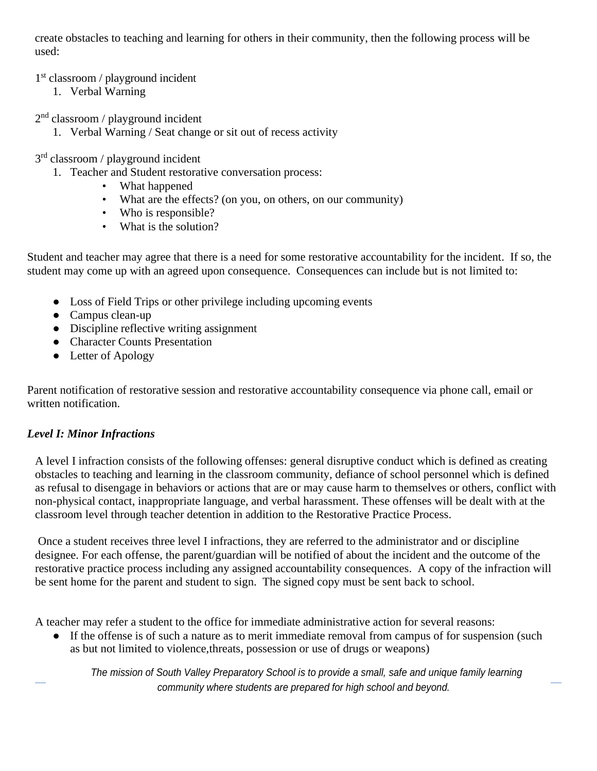create obstacles to teaching and learning for others in their community, then the following process will be used:

#### 1st classroom / playground incident

1. Verbal Warning

2nd classroom / playground incident

1. Verbal Warning / Seat change or sit out of recess activity

3rd classroom / playground incident

- 1. Teacher and Student restorative conversation process:
	- What happened
	- What are the effects? (on you, on others, on our community)
	- Who is responsible?
	- What is the solution?

Student and teacher may agree that there is a need for some restorative accountability for the incident. If so, the student may come up with an agreed upon consequence. Consequences can include but is not limited to:

- Loss of Field Trips or other privilege including upcoming events
- Campus clean-up
- Discipline reflective writing assignment
- Character Counts Presentation
- Letter of Apology

Parent notification of restorative session and restorative accountability consequence via phone call, email or written notification.

### *Level I: Minor Infractions*

A level I infraction consists of the following offenses: general disruptive conduct which is defined as creating obstacles to teaching and learning in the classroom community, defiance of school personnel which is defined as refusal to disengage in behaviors or actions that are or may cause harm to themselves or others, conflict with non-physical contact, inappropriate language, and verbal harassment. These offenses will be dealt with at the classroom level through teacher detention in addition to the Restorative Practice Process.

Once a student receives three level I infractions, they are referred to the administrator and or discipline designee. For each offense, the parent/guardian will be notified of about the incident and the outcome of the restorative practice process including any assigned accountability consequences. A copy of the infraction will be sent home for the parent and student to sign. The signed copy must be sent back to school.

A teacher may refer a student to the office for immediate administrative action for several reasons:

• If the offense is of such a nature as to merit immediate removal from campus of for suspension (such as but not limited to violence, threats, possession or use of drugs or weapons)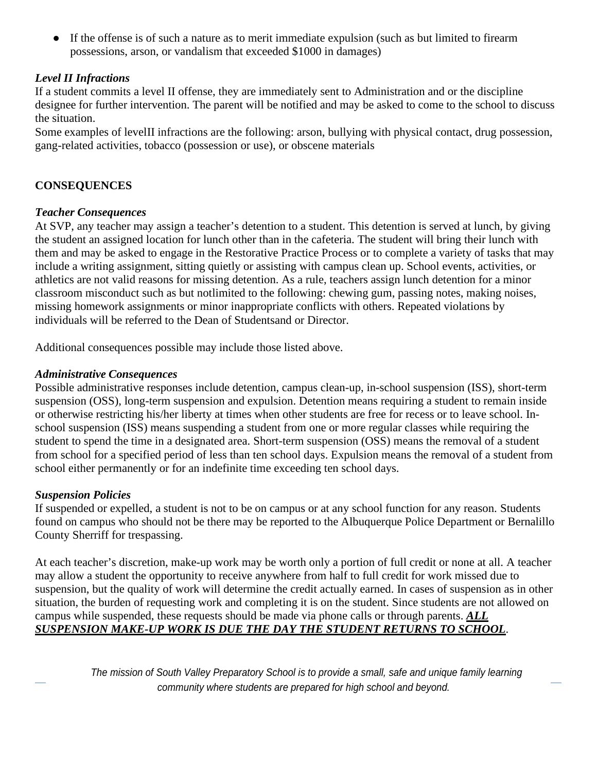● If the offense is of such a nature as to merit immediate expulsion (such as but limited to firearm possessions, arson, or vandalism that exceeded \$1000 in damages)

#### *Level II Infractions*

If a student commits a level II offense, they are immediately sent to Administration and or the discipline designee for further intervention. The parent will be notified and may be asked to come to the school to discuss the situation.

Some examples of level II infractions are the following: arson, bullying with physical contact, drug possession, gang-related activities, tobacco (possession or use), or obscene materials

#### **CONSEQUENCES**

#### *Teacher Consequences*

At SVP, any teacher may assign a teacher's detention to a student. This detention is served at lunch, by giving the student an assigned location for lunch other than in the cafeteria. The student will bring their lunch with them and may be asked to engage in the Restorative Practice Process or to complete a variety of tasks that may include a writing assignment, sitting quietly or assisting with campus clean up. School events, activities, or athletics are not valid reasons for missing detention. As a rule, teachers assign lunch detention for a minor classroom misconduct such as but not limited to the following: chewing gum, passing notes, making noises, missing homework assignments or minor inappropriate conflicts with others. Repeated violations by individuals will be referred to the Dean of Students and or Director.

Additional consequences possible may include those listed above.

#### *Administrative Consequences*

Possible administrative responses include detention, campus clean-up, in-school suspension (ISS), short-term suspension (OSS), long-term suspension and expulsion. Detention means requiring a student to remain inside or otherwise restricting his/her liberty at times when other students are free for recess or to leave school. Inschool suspension (ISS) means suspending a student from one or more regular classes while requiring the student to spend the time in a designated area. Short-term suspension (OSS) means the removal of a student from school for a specified period of less than ten school days. Expulsion means the removal of a student from school either permanently or for an indefinite time exceeding ten school days.

#### *Suspension Policies*

If suspended or expelled, a student is not to be on campus or at any school function for any reason. Students found on campus who should not be there may be reported to the Albuquerque Police Department or Bernalillo County Sherriff for trespassing.

At each teacher's discretion, make-up work may be worth only a portion of full credit or none at all. A teacher may allow a student the opportunity to receive anywhere from half to full credit for work missed due to suspension, but the quality of work will determine the credit actually earned. In cases of suspension as in other situation, the burden of requesting work and completing it is on the student. Since students are not allowed on campus while suspended, these requests should be made via phone calls or through parents. *ALL SUSPENSION MAKE-UP WORK IS DUE THE DAY THE STUDENT RETURNS TO SCHOOL*.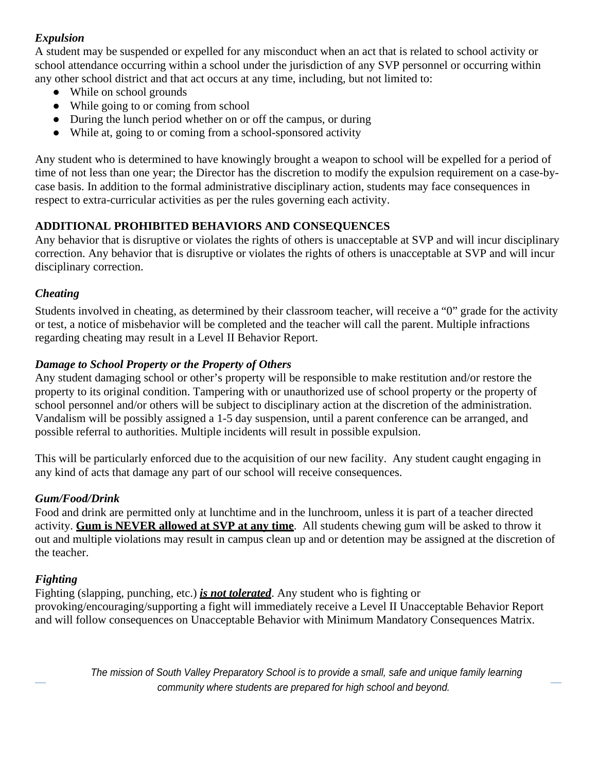#### *Expulsion*

A student may be suspended or expelled for any misconduct when an act that is related to school activity or school attendance occurring within a school under the jurisdiction of any SVP personnel or occurring within any other school district and that act occurs at any time, including, but not limited to:

- While on school grounds
- While going to or coming from school
- During the lunch period whether on or off the campus, or during
- While at, going to or coming from a school-sponsored activity

Any student who is determined to have knowingly brought a weapon to school will be expelled for a period of time of not less than one year; the Director has the discretion to modify the expulsion requirement on a case-bycase basis. In addition to the formal administrative disciplinary action, students may face consequences in respect to extra-curricular activities as per the rules governing each activity.

#### **ADDITIONAL PROHIBITED BEHAVIORS AND CONSEQUENCES**

Any behavior that is disruptive or violates the rights of others is unacceptable at SVP and will incur disciplinary correction. Any behavior that is disruptive or violates the rights of others is unacceptable at SVP and will incur disciplinary correction.

#### *Cheating*

Students involved in cheating, as determined by their classroom teacher, will receive a "0" grade for the activity or test, a notice of misbehavior will be completed and the teacher will call the parent. Multiple infractions regarding cheating may result in a Level II Behavior Report.

#### *Damage to School Property or the Property of Others*

Any student damaging school or other's property will be responsible to make restitution and/or restore the property to its original condition. Tampering with or unauthorized use of school property or the property of school personnel and/or others will be subject to disciplinary action at the discretion of the administration. Vandalism will be possibly assigned a 1-5 day suspension, until a parent conference can be arranged, and possible referral to authorities. Multiple incidents will result in possible expulsion.

This will be particularly enforced due to the acquisition of our new facility. Any student caught engaging in any kind of acts that damage any part of our school will receive consequences.

#### *Gum/Food/Drink*

Food and drink are permitted only at lunchtime and in the lunchroom, unless it is part of a teacher directed activity. **Gum is NEVER allowed at SVP at any time**. All students chewing gum will be asked to throw it out and multiple violations may result in campus clean up and or detention may be assigned at the discretion of the teacher.

### *Fighting*

Fighting (slapping, punching, etc.) *is not tolerated*. Any student who is fighting or provoking/encouraging/supporting a fight will immediately receive a Level II Unacceptable Behavior Report and will follow consequences on Unacceptable Behavior with Minimum Mandatory Consequences Matrix.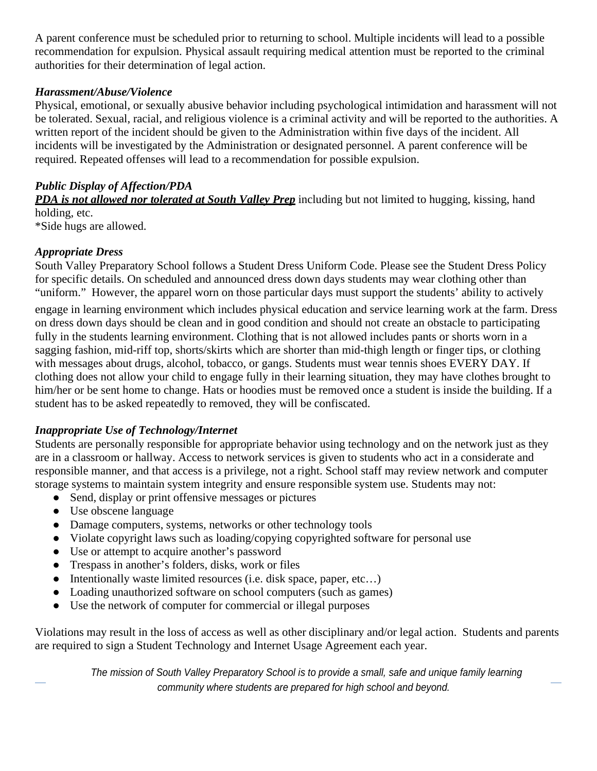A parent conference must be scheduled prior to returning to school. Multiple incidents will lead to a possible recommendation for expulsion. Physical assault requiring medical attention must be reported to the criminal authorities for their determination of legal action.

#### *Harassment/Abuse/Violence*

Physical, emotional, or sexually abusive behavior including psychological intimidation and harassment will not be tolerated. Sexual, racial, and religious violence is a criminal activity and will be reported to the authorities. A written report of the incident should be given to the Administration within five days of the incident. All incidents will be investigated by the Administration or designated personnel. A parent conference will be required. Repeated offenses will lead to a recommendation for possible expulsion.

#### *Public Display of Affection/PDA*

*PDA is not allowed nor tolerated at South Valley Prep* including but not limited to hugging, kissing, hand holding, etc.

\*Side hugs are allowed.

#### *Appropriate Dress*

South Valley Preparatory School follows a Student Dress Uniform Code. Please see the Student Dress Policy for specific details. On scheduled and announced dress down days students may wear clothing other than "uniform." However, the apparel worn on those particular days must support the students' ability to actively

engage in learning environment which includes physical education and service learning work at the farm. Dress on dress down days should be clean and in good condition and should not create an obstacle to participating fully in the students learning environment. Clothing that is not allowed includes pants or shorts worn in a sagging fashion, mid-riff top, shorts/skirts which are shorter than mid-thigh length or finger tips, or clothing with messages about drugs, alcohol, tobacco, or gangs. Students must wear tennis shoes EVERY DAY. If clothing does not allow your child to engage fully in their learning situation, they may have clothes brought to him/her or be sent home to change. Hats or hoodies must be removed once a student is inside the building. If a student has to be asked repeatedly to removed, they will be confiscated.

### *Inappropriate Use of Technology/Internet*

Students are personally responsible for appropriate behavior using technology and on the network just as they are in a classroom or hallway. Access to network services is given to students who act in a considerate and responsible manner, and that access is a privilege, not a right. School staff may review network and computer storage systems to maintain system integrity and ensure responsible system use. Students may not:

- Send, display or print offensive messages or pictures
- Use obscene language
- Damage computers, systems, networks or other technology tools
- Violate copyright laws such as loading/copying copyrighted software for personal use
- Use or attempt to acquire another's password
- Trespass in another's folders, disks, work or files
- Intentionally waste limited resources (i.e. disk space, paper, etc...)
- Loading unauthorized software on school computers (such as games)
- Use the network of computer for commercial or illegal purposes

Violations may result in the loss of access as well as other disciplinary and/or legal action. Students and parents are required to sign a Student Technology and Internet Usage Agreement each year.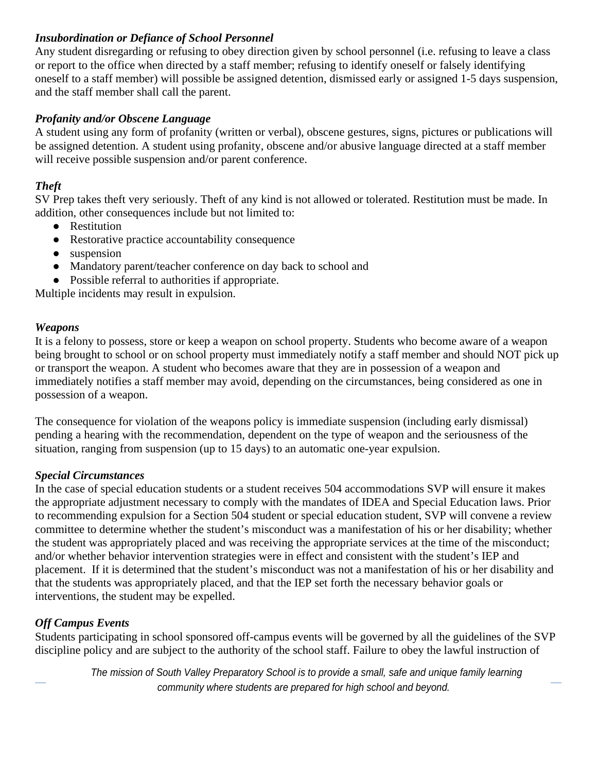#### *Insubordination or Defiance of School Personnel*

Any student disregarding or refusing to obey direction given by school personnel (i.e. refusing to leave a class or report to the office when directed by a staff member; refusing to identify oneself or falsely identifying oneself to a staff member) will possible be assigned detention, dismissed early or assigned 1-5 days suspension, and the staff member shall call the parent.

#### *Profanity and/or Obscene Language*

A student using any form of profanity (written or verbal), obscene gestures, signs, pictures or publications will be assigned detention. A student using profanity, obscene and/or abusive language directed at a staff member will receive possible suspension and/or parent conference.

### *Theft*

SV Prep takes theft very seriously. Theft of any kind is not allowed or tolerated. Restitution must be made. In addition, other consequences include but not limited to:

- Restitution
- Restorative practice accountability consequence
- suspension
- Mandatory parent/teacher conference on day back to school and
- Possible referral to authorities if appropriate.

Multiple incidents may result in expulsion.

#### *Weapons*

It is a felony to possess, store or keep a weapon on school property. Students who become aware of a weapon being brought to school or on school property must immediately notify a staff member and should NOT pick up or transport the weapon. A student who becomes aware that they are in possession of a weapon and immediately notifies a staff member may avoid, depending on the circumstances, being considered as one in possession of a weapon.

The consequence for violation of the weapons policy is immediate suspension (including early dismissal) pending a hearing with the recommendation, dependent on the type of weapon and the seriousness of the situation, ranging from suspension (up to 15 days) to an automatic one-year expulsion.

#### *Special Circumstances*

In the case of special education students or a student receives 504 accommodations SVP will ensure it makes the appropriate adjustment necessary to comply with the mandates of IDEA and Special Education laws. Prior to recommending expulsion for a Section 504 student or special education student, SVP will convene a review committee to determine whether the student's misconduct was a manifestation of his or her disability; whether the student was appropriately placed and was receiving the appropriate services at the time of the misconduct; and/or whether behavior intervention strategies were in effect and consistent with the student's IEP and placement. If it is determined that the student's misconduct was not a manifestation of his or her disability and that the students was appropriately placed, and that the IEP set forth the necessary behavior goals or interventions, the student may be expelled.

### *Off Campus Events*

Students participating in school sponsored off-campus events will be governed by all the guidelines of the SVP discipline policy and are subject to the authority of the school staff. Failure to obey the lawful instruction of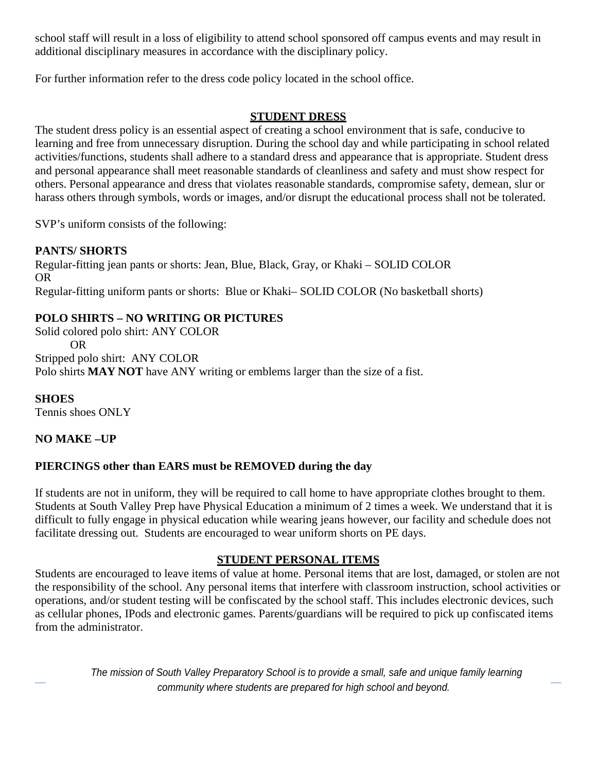school staff will result in a loss of eligibility to attend school sponsored off campus events and may result in additional disciplinary measures in accordance with the disciplinary policy.

For further information refer to the dress code policy located in the school office.

#### **STUDENT DRESS**

The student dress policy is an essential aspect of creating a school environment that is safe, conducive to learning and free from unnecessary disruption. During the school day and while participating in school related activities/functions, students shall adhere to a standard dress and appearance that is appropriate. Student dress and personal appearance shall meet reasonable standards of cleanliness and safety and must show respect for others. Personal appearance and dress that violates reasonable standards, compromise safety, demean, slur or harass others through symbols, words or images, and/or disrupt the educational process shall not be tolerated.

SVP's uniform consists of the following:

### **PANTS/ SHORTS**

Regular-fitting jean pants or shorts: Jean, Blue, Black, Gray, or Khaki – SOLID COLOR OR Regular-fitting uniform pants or shorts: Blue or Khaki– SOLID COLOR (No basketball shorts)

# **POLO SHIRTS – NO WRITING OR PICTURES**

Solid colored polo shirt: ANY COLOR OR Stripped polo shirt: ANY COLOR Polo shirts **MAY NOT** have ANY writing or emblems larger than the size of a fist.

**SHOES** Tennis shoes ONLY

### **NO MAKE –UP**

### **PIERCINGS other than EARS must be REMOVED during the day**

If students are not in uniform, they will be required to call home to have appropriate clothes brought to them. Students at South Valley Prep have Physical Education a minimum of 2 times a week. We understand that it is difficult to fully engage in physical education while wearing jeans however, our facility and schedule does not facilitate dressing out. Students are encouraged to wear uniform shorts on PE days.

#### **STUDENT PERSONAL ITEMS**

Students are encouraged to leave items of value at home. Personal items that are lost, damaged, or stolen are not the responsibility of the school. Any personal items that interfere with classroom instruction, school activities or operations, and/or student testing will be confiscated by the school staff. This includes electronic devices, such as cellular phones, IPods and electronic games. Parents/guardians will be required to pick up confiscated items from the administrator.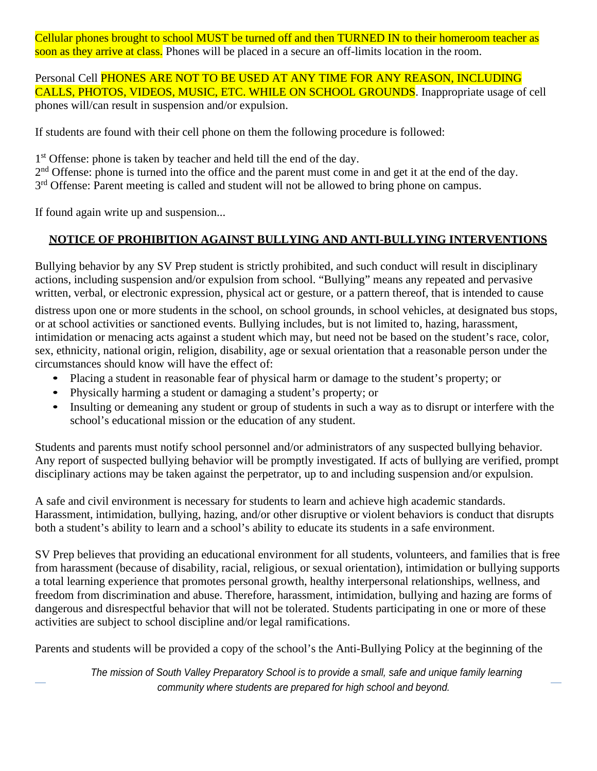Cellular phones brought to school MUST be turned off and then TURNED IN to their homeroom teacher as soon as they arrive at class. Phones will be placed in a secure an off-limits location in the room.

Personal Cell **PHONES ARE NOT TO BE USED AT ANY TIME FOR ANY REASON, INCLUDING** CALLS, PHOTOS, VIDEOS, MUSIC, ETC. WHILE ON SCHOOL GROUNDS. Inappropriate usage of cell phones will/can result in suspension and/or expulsion.

If students are found with their cell phone on them the following procedure is followed:

1<sup>st</sup> Offense: phone is taken by teacher and held till the end of the day.

2<sup>nd</sup> Offense: phone is turned into the office and the parent must come in and get it at the end of the day.

3<sup>rd</sup> Offense: Parent meeting is called and student will not be allowed to bring phone on campus.

If found again write up and suspension...

# **NOTICE OF PROHIBITION AGAINST BULLYING AND ANTI-BULLYING INTERVENTIONS**

Bullying behavior by any SV Prep student is strictly prohibited, and such conduct will result in disciplinary actions, including suspension and/or expulsion from school. "Bullying" means any repeated and pervasive written, verbal, or electronic expression, physical act or gesture, or a pattern thereof, that is intended to cause

distress upon one or more students in the school, on school grounds, in school vehicles, at designated bus stops, or at school activities or sanctioned events. Bullying includes, but is not limited to, hazing, harassment, intimidation or menacing acts against a student which may, but need not be based on the student's race, color, sex, ethnicity, national origin, religion, disability, age or sexual orientation that a reasonable person under the circumstances should know will have the effect of:

- Placing a student in reasonable fear of physical harm or damage to the student's property; or
- Physically harming a student or damaging a student's property; or
- Insulting or demeaning any student or group of students in such a way as to disrupt or interfere with the school's educational mission or the education of any student.

Students and parents must notify school personnel and/or administrators of any suspected bullying behavior. Any report of suspected bullying behavior will be promptly investigated. If acts of bullying are verified, prompt disciplinary actions may be taken against the perpetrator, up to and including suspension and/or expulsion.

A safe and civil environment is necessary for students to learn and achieve high academic standards. Harassment, intimidation, bullying, hazing, and/or other disruptive or violent behaviors is conduct that disrupts both a student's ability to learn and a school's ability to educate its students in a safe environment.

SV Prep believes that providing an educational environment for all students, volunteers, and families that is free from harassment (because of disability, racial, religious, or sexual orientation), intimidation or bullying supports a total learning experience that promotes personal growth, healthy interpersonal relationships, wellness, and freedom from discrimination and abuse. Therefore, harassment, intimidation, bullying and hazing are forms of dangerous and disrespectful behavior that will not be tolerated. Students participating in one or more of these activities are subject to school discipline and/or legal ramifications.

Parents and students will be provided a copy of the school's the Anti-Bullying Policy at the beginning of the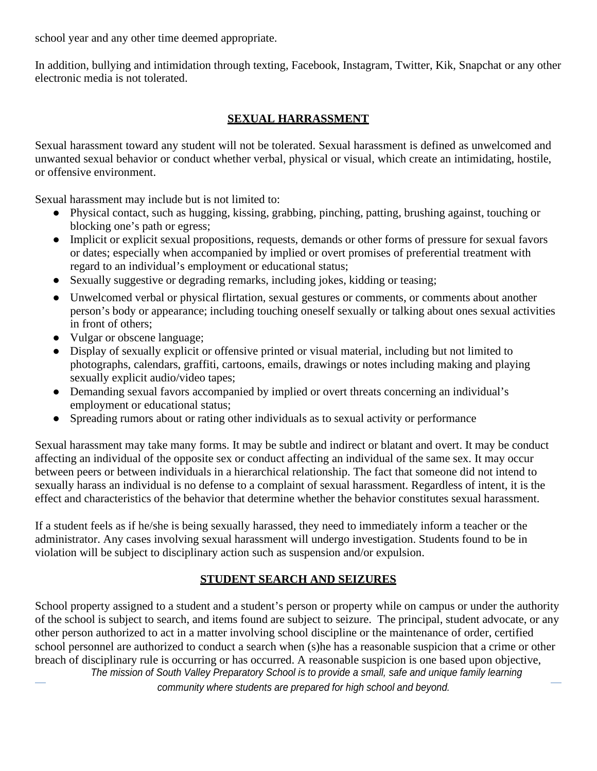school year and any other time deemed appropriate.

In addition, bullying and intimidation through texting, Facebook, Instagram, Twitter, Kik, Snapchat or any other electronic media is not tolerated.

#### **SEXUAL HARRASSMENT**

Sexual harassment toward any student will not be tolerated. Sexual harassment is defined as unwelcomed and unwanted sexual behavior or conduct whether verbal, physical or visual, which create an intimidating, hostile, or offensive environment.

Sexual harassment may include but is not limited to:

- Physical contact, such as hugging, kissing, grabbing, pinching, patting, brushing against, touching or blocking one's path or egress;
- Implicit or explicit sexual propositions, requests, demands or other forms of pressure for sexual favors or dates; especially when accompanied by implied or overt promises of preferential treatment with regard to an individual's employment or educational status;
- Sexually suggestive or degrading remarks, including jokes, kidding or teasing;
- Unwelcomed verbal or physical flirtation, sexual gestures or comments, or comments about another person's body or appearance; including touching oneself sexually or talking about ones sexual activities in front of others;
- Vulgar or obscene language;
- Display of sexually explicit or offensive printed or visual material, including but not limited to photographs, calendars, graffiti, cartoons, emails, drawings or notes including making and playing sexually explicit audio/video tapes;
- Demanding sexual favors accompanied by implied or overt threats concerning an individual's employment or educational status;
- Spreading rumors about or rating other individuals as to sexual activity or performance

Sexual harassment may take many forms. It may be subtle and indirect or blatant and overt. It may be conduct affecting an individual of the opposite sex or conduct affecting an individual of the same sex. It may occur between peers or between individuals in a hierarchical relationship. The fact that someone did not intend to sexually harass an individual is no defense to a complaint of sexual harassment. Regardless of intent, it is the effect and characteristics of the behavior that determine whether the behavior constitutes sexual harassment.

If a student feels as if he/she is being sexually harassed, they need to immediately inform a teacher or the administrator. Any cases involving sexual harassment will undergo investigation. Students found to be in violation will be subject to disciplinary action such as suspension and/or expulsion.

### **STUDENT SEARCH AND SEIZURES**

*The mission of South Valley Preparatory School is to provide a small, safe and unique family learning* School property assigned to a student and a student's person or property while on campus or under the authority of the school is subject to search, and items found are subject to seizure. The principal, student advocate, or any other person authorized to act in a matter involving school discipline or the maintenance of order, certified school personnel are authorized to conduct a search when (s)he has a reasonable suspicion that a crime or other breach of disciplinary rule is occurring or has occurred. A reasonable suspicion is one based upon objective,

*community where students are prepared for high school and beyond.*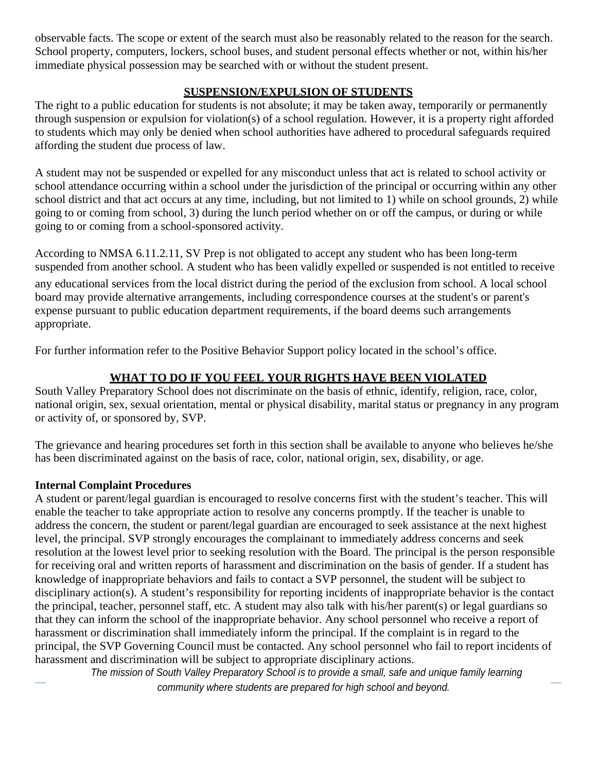observable facts. The scope or extent of the search must also be reasonably related to the reason for the search. School property, computers, lockers, school buses, and student personal effects whether or not, within his/her immediate physical possession may be searched with or without the student present.

### **SUSPENSION/EXPULSION OF STUDENTS**

The right to a public education for students is not absolute; it may be taken away, temporarily or permanently through suspension or expulsion for violation(s) of a school regulation. However, it is a property right afforded to students which may only be denied when school authorities have adhered to procedural safeguards required affording the student due process of law.

A student may not be suspended or expelled for any misconduct unless that act is related to school activity or school attendance occurring within a school under the jurisdiction of the principal or occurring within any other school district and that act occurs at any time, including, but not limited to 1) while on school grounds, 2) while going to or coming from school, 3) during the lunch period whether on or off the campus, or during or while going to or coming from a school-sponsored activity.

According to NMSA 6.11.2.11, SV Prep is not obligated to accept any student who has been long-term suspended from another school. A student who has been validly expelled or suspended is not entitled to receive

any educational services from the local district during the period of the exclusion from school. A local school board may provide alternative arrangements, including correspondence courses at the student's or parent's expense pursuant to public education department requirements, if the board deems such arrangements appropriate.

For further information refer to the Positive Behavior Support policy located in the school's office.

# **WHAT TO DO IF YOU FEEL YOUR RIGHTS HAVE BEEN VIOLATED**

South Valley Preparatory School does not discriminate on the basis of ethnic, identify, religion, race, color, national origin, sex, sexual orientation, mental or physical disability, marital status or pregnancy in any program or activity of, or sponsored by, SVP.

The grievance and hearing procedures set forth in this section shall be available to anyone who believes he/she has been discriminated against on the basis of race, color, national origin, sex, disability, or age.

### **Internal Complaint Procedures**

A student or parent/legal guardian is encouraged to resolve concerns first with the student's teacher. This will enable the teacher to take appropriate action to resolve any concerns promptly. If the teacher is unable to address the concern, the student or parent/legal guardian are encouraged to seek assistance at the next highest level, the principal. SVP strongly encourages the complainant to immediately address concerns and seek resolution at the lowest level prior to seeking resolution with the Board. The principal is the person responsible for receiving oral and written reports of harassment and discrimination on the basis of gender. If a student has knowledge of inappropriate behaviors and fails to contact a SVP personnel, the student will be subject to disciplinary action(s). A student's responsibility for reporting incidents of inappropriate behavior is the contact the principal, teacher, personnel staff, etc. A student may also talk with his/her parent(s) or legal guardians so that they can inform the school of the inappropriate behavior. Any school personnel who receive a report of harassment or discrimination shall immediately inform the principal. If the complaint is in regard to the principal, the SVP Governing Council must be contacted. Any school personnel who fail to report incidents of harassment and discrimination will be subject to appropriate disciplinary actions.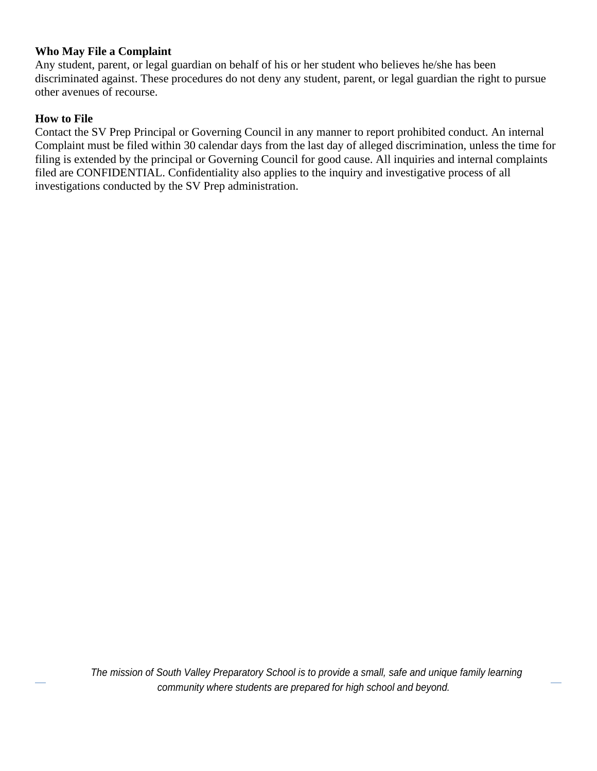#### **Who May File a Complaint**

Any student, parent, or legal guardian on behalf of his or her student who believes he/she has been discriminated against. These procedures do not deny any student, parent, or legal guardian the right to pursue other avenues of recourse.

#### **How to File**

Contact the SV Prep Principal or Governing Council in any manner to report prohibited conduct. An internal Complaint must be filed within 30 calendar days from the last day of alleged discrimination, unless the time for filing is extended by the principal or Governing Council for good cause. All inquiries and internal complaints filed are CONFIDENTIAL. Confidentiality also applies to the inquiry and investigative process of all investigations conducted by the SV Prep administration.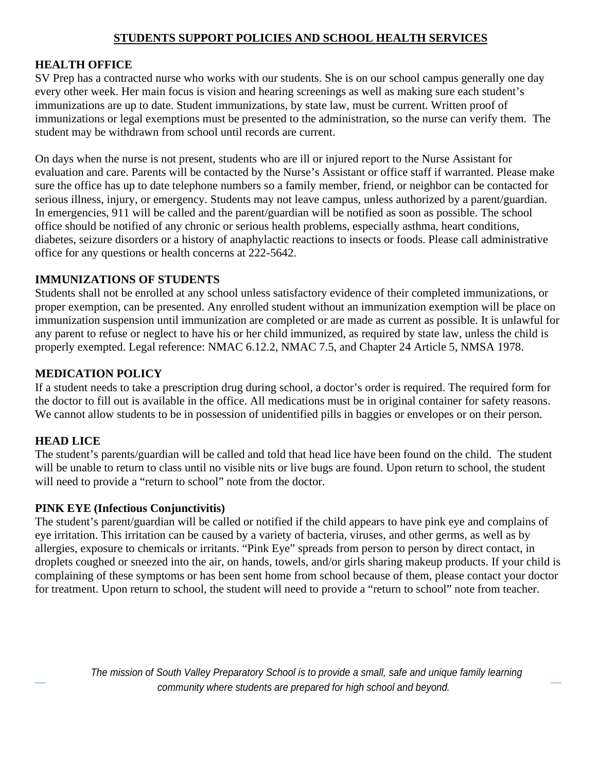#### **STUDENTS SUPPORT POLICIES AND SCHOOL HEALTH SERVICES**

#### **HEALTH OFFICE**

SV Prep has a contracted nurse who works with our students. She is on our school campus generally one day every other week. Her main focus is vision and hearing screenings as well as making sure each student's immunizations are up to date. Student immunizations, by state law, must be current. Written proof of immunizations or legal exemptions must be presented to the administration, so the nurse can verify them. The student may be withdrawn from school until records are current.

On days when the nurse is not present, students who are ill or injured report to the Nurse Assistant for evaluation and care. Parents will be contacted by the Nurse's Assistant or office staff if warranted. Please make sure the office has up to date telephone numbers so a family member, friend, or neighbor can be contacted for serious illness, injury, or emergency. Students may not leave campus, unless authorized by a parent/guardian. In emergencies, 911 will be called and the parent/guardian will be notified as soon as possible. The school office should be notified of any chronic or serious health problems, especially asthma, heart conditions, diabetes, seizure disorders or a history of anaphylactic reactions to insects or foods. Please call administrative office for any questions or health concerns at 222-5642.

#### **IMMUNIZATIONS OF STUDENTS**

Students shall not be enrolled at any school unless satisfactory evidence of their completed immunizations, or proper exemption, can be presented. Any enrolled student without an immunization exemption will be place on immunization suspension until immunization are completed or are made as current as possible. It is unlawful for any parent to refuse or neglect to have his or her child immunized, as required by state law, unless the child is properly exempted. Legal reference: NMAC 6.12.2, NMAC 7.5, and Chapter 24 Article 5, NMSA 1978.

#### **MEDICATION POLICY**

If a student needs to take a prescription drug during school, a doctor's order is required. The required form for the doctor to fill out is available in the office. All medications must be in original container for safety reasons. We cannot allow students to be in possession of unidentified pills in baggies or envelopes or on their person.

#### **HEAD LICE**

The student's parents/guardian will be called and told that head lice have been found on the child. The student will be unable to return to class until no visible nits or live bugs are found. Upon return to school, the student will need to provide a "return to school" note from the doctor.

#### **PINK EYE (Infectious Conjunctivitis)**

The student's parent/guardian will be called or notified if the child appears to have pink eye and complains of eye irritation. This irritation can be caused by a variety of bacteria, viruses, and other germs, as well as by allergies, exposure to chemicals or irritants. "Pink Eye" spreads from person to person by direct contact, in droplets coughed or sneezed into the air, on hands, towels, and/or girls sharing makeup products. If your child is complaining of these symptoms or has been sent home from school because of them, please contact your doctor for treatment. Upon return to school, the student will need to provide a "return to school" note from teacher.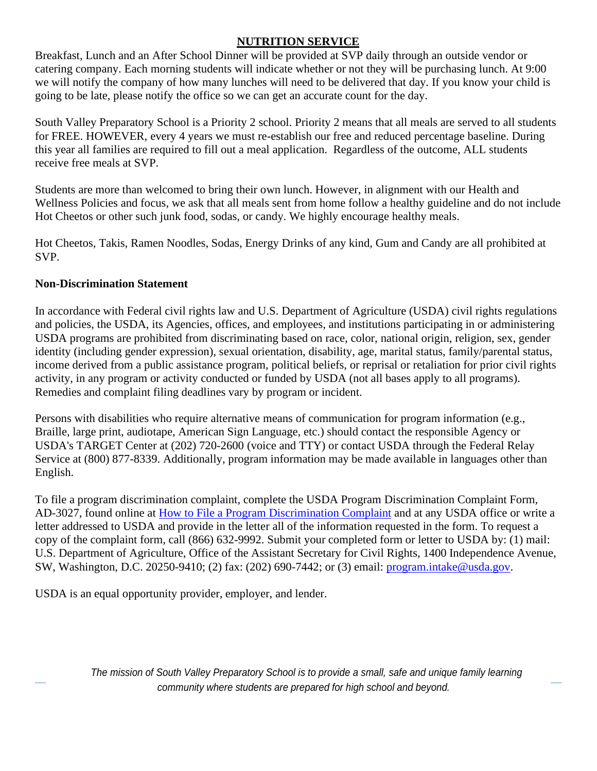#### **NUTRITION SERVICE**

Breakfast, Lunch and an After School Dinner will be provided at SVP daily through an outside vendor or catering company. Each morning students will indicate whether or not they will be purchasing lunch. At 9:00 we will notify the company of how many lunches will need to be delivered that day. If you know your child is going to be late, please notify the office so we can get an accurate count for the day.

South Valley Preparatory School is a Priority 2 school. Priority 2 means that all meals are served to all students for FREE. HOWEVER, every 4 years we must re-establish our free and reduced percentage baseline. During this year all families are required to fill out a meal application. Regardless of the outcome, ALL students receive free meals at SVP.

Students are more than welcomed to bring their own lunch. However, in alignment with our Health and Wellness Policies and focus, we ask that all meals sent from home follow a healthy guideline and do not include Hot Cheetos or other such junk food, sodas, or candy. We highly encourage healthy meals.

Hot Cheetos, Takis, Ramen Noodles, Sodas, Energy Drinks of any kind, Gum and Candy are all prohibited at SVP.

#### **Non-Discrimination Statement**

In accordance with Federal civil rights law and U.S. Department of Agriculture (USDA) civil rights regulations and policies, the USDA, its Agencies, offices, and employees, and institutions participating in or administering USDA programs are prohibited from discriminating based on race, color, national origin, religion, sex, gender identity (including gender expression), sexual orientation, disability, age, marital status, family/parental status, income derived from a public assistance program, political beliefs, or reprisal or retaliation for prior civil rights activity, in any program or activity conducted or funded by USDA (not all bases apply to all programs). Remedies and complaint filing deadlines vary by program or incident.

Persons with disabilities who require alternative means of communication for program information (e.g., Braille, large print, audiotape, American Sign Language, etc.) should contact the responsible Agency or USDA's TARGET Center at (202) 720-2600 (voice and TTY) or contact USDA through the Federal Relay Service at (800) 877-8339. Additionally, program information may be made available in languages other than English.

To file a program discrimination complaint, complete the USDA Program Discrimination Complaint Form, AD-3027, found online at How to File a Program Discrimination Complaint and at any USDA office or write a letter addressed to USDA and provide in the letter all of the information requested in the form. To request a copy of the complaint form, call (866) 632-9992. Submit your completed form or letter to USDA by: (1) mail: U.S. Department of Agriculture, Office of the Assistant Secretary for Civil Rights, 1400 Independence Avenue, SW, Washington, D.C. 20250-9410; (2) fax: (202) 690-7442; or (3) email: [program.intake@usda.gov.](mailto:program.intake@usda.gov)

USDA is an equal opportunity provider, employer, and lender.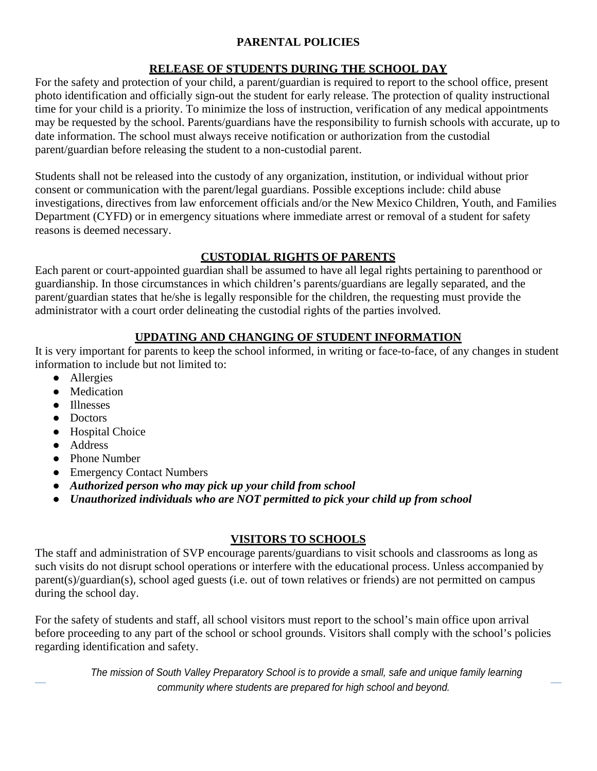### **PARENTAL POLICIES**

# **RELEASE OF STUDENTS DURING THE SCHOOL DAY**

For the safety and protection of your child, a parent/guardian is required to report to the school office, present photo identification and officially sign-out the student for early release. The protection of quality instructional time for your child is a priority. To minimize the loss of instruction, verification of any medical appointments may be requested by the school. Parents/guardians have the responsibility to furnish schools with accurate, up to date information. The school must always receive notification or authorization from the custodial parent/guardian before releasing the student to a non-custodial parent.

Students shall not be released into the custody of any organization, institution, or individual without prior consent or communication with the parent/legal guardians. Possible exceptions include: child abuse investigations, directives from law enforcement officials and/or the New Mexico Children, Youth, and Families Department (CYFD) or in emergency situations where immediate arrest or removal of a student for safety reasons is deemed necessary.

# **CUSTODIAL RIGHTS OF PARENTS**

Each parent or court-appointed guardian shall be assumed to have all legal rights pertaining to parenthood or guardianship. In those circumstances in which children's parents/guardians are legally separated, and the parent/guardian states that he/she is legally responsible for the children, the requesting must provide the administrator with a court order delineating the custodial rights of the parties involved.

# **UPDATING AND CHANGING OF STUDENT INFORMATION**

It is very important for parents to keep the school informed, in writing or face-to-face, of any changes in student information to include but not limited to:

- Allergies
- Medication
- Illnesses
- Doctors
- Hospital Choice
- Address
- Phone Number
- Emergency Contact Numbers
- *Authorized person who may pick up your child from school*
- *Unauthorized individuals who are NOT permitted to pick your child up from school*

### **VISITORS TO SCHOOLS**

The staff and administration of SVP encourage parents/guardians to visit schools and classrooms as long as such visits do not disrupt school operations or interfere with the educational process. Unless accompanied by parent(s)/guardian(s), school aged guests (i.e. out of town relatives or friends) are not permitted on campus during the school day.

For the safety of students and staff, all school visitors must report to the school's main office upon arrival before proceeding to any part of the school or school grounds. Visitors shall comply with the school's policies regarding identification and safety.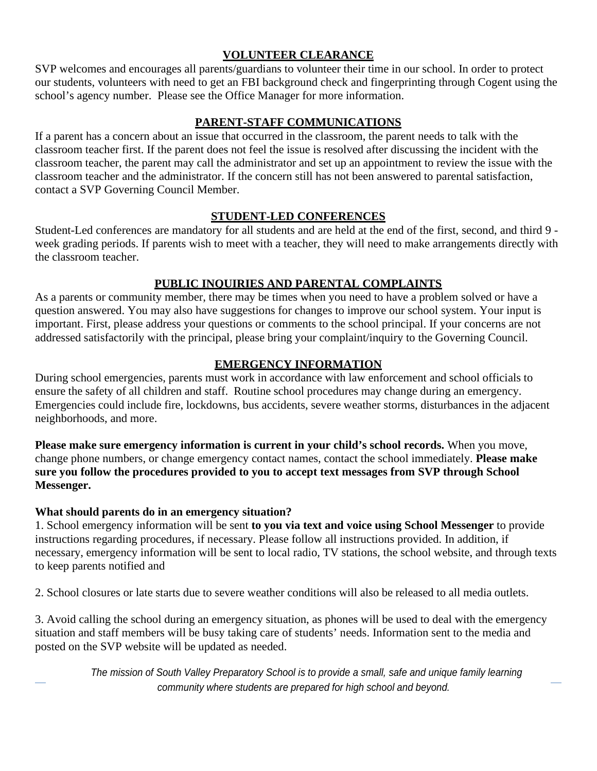#### **VOLUNTEER CLEARANCE**

SVP welcomes and encourages all parents/guardians to volunteer their time in our school. In order to protect our students, volunteers with need to get an FBI background check and fingerprinting through Cogent using the school's agency number. Please see the Office Manager for more information.

#### **PARENT-STAFF COMMUNICATIONS**

If a parent has a concern about an issue that occurred in the classroom, the parent needs to talk with the classroom teacher first. If the parent does not feel the issue is resolved after discussing the incident with the classroom teacher, the parent may call the administrator and set up an appointment to review the issue with the classroom teacher and the administrator. If the concern still has not been answered to parental satisfaction, contact a SVP Governing Council Member.

#### **STUDENT-LED CONFERENCES**

Student-Led conferences are mandatory for all students and are held at the end of the first, second, and third 9 week grading periods. If parents wish to meet with a teacher, they will need to make arrangements directly with the classroom teacher.

#### **PUBLIC INQUIRIES AND PARENTAL COMPLAINTS**

As a parents or community member, there may be times when you need to have a problem solved or have a question answered. You may also have suggestions for changes to improve our school system. Your input is important. First, please address your questions or comments to the school principal. If your concerns are not addressed satisfactorily with the principal, please bring your complaint/inquiry to the Governing Council.

#### **EMERGENCY INFORMATION**

During school emergencies, parents must work in accordance with law enforcement and school officials to ensure the safety of all children and staff. Routine school procedures may change during an emergency. Emergencies could include fire, lockdowns, bus accidents, severe weather storms, disturbances in the adjacent neighborhoods, and more.

**Please make sure emergency information is current in your child's school records.** When you move, change phone numbers, or change emergency contact names, contact the school immediately. **Please make sure you follow the procedures provided to you to accept text messages from SVP through School Messenger.**

#### **What should parents do in an emergency situation?**

1. School emergency information will be sent **to you via text and voice using School Messenger** to provide instructions regarding procedures, if necessary. Please follow all instructions provided. In addition, if necessary, emergency information will be sent to local radio, TV stations, the school website, and through texts to keep parents notified and

2. School closures or late starts due to severe weather conditions will also be released to all media outlets.

3. Avoid calling the school during an emergency situation, as phones will be used to deal with the emergency situation and staff members will be busy taking care of students' needs. Information sent to the media and posted on the SVP website will be updated as needed.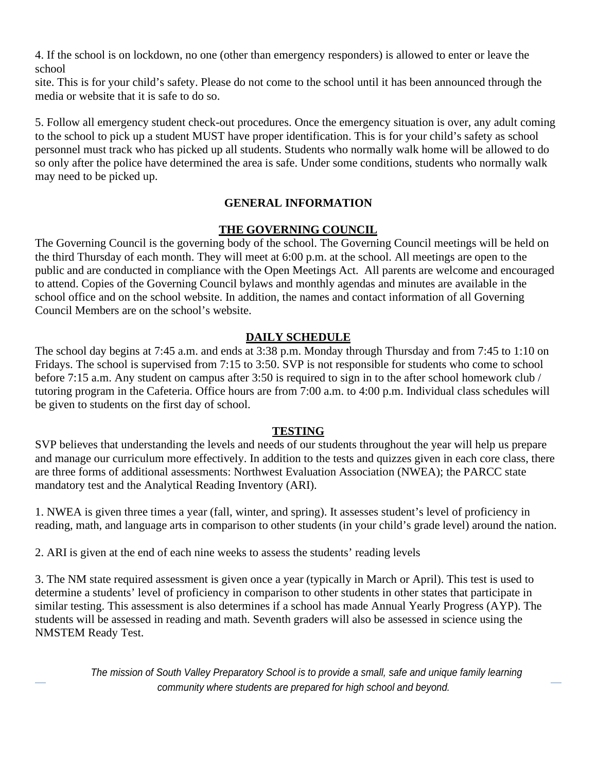4. If the school is on lockdown, no one (other than emergency responders) is allowed to enter or leave the school

site. This is for your child's safety. Please do not come to the school until it has been announced through the media or website that it is safe to do so.

5. Follow all emergency student check-out procedures. Once the emergency situation is over, any adult coming to the school to pick up a student MUST have proper identification. This is for your child's safety as school personnel must track who has picked up all students. Students who normally walk home will be allowed to do so only after the police have determined the area is safe. Under some conditions, students who normally walk may need to be picked up.

### **GENERAL INFORMATION**

### **THE GOVERNING COUNCIL**

The Governing Council is the governing body of the school. The Governing Council meetings will be held on the third Thursday of each month. They will meet at 6:00 p.m. at the school. All meetings are open to the public and are conducted in compliance with the Open Meetings Act. All parents are welcome and encouraged to attend. Copies of the Governing Council bylaws and monthly agendas and minutes are available in the school office and on the school website. In addition, the names and contact information of all Governing Council Members are on the school's website.

### **DAILY SCHEDULE**

The school day begins at 7:45 a.m. and ends at 3:38 p.m. Monday through Thursday and from 7:45 to 1:10 on Fridays. The school is supervised from 7:15 to 3:50. SVP is not responsible for students who come to school before 7:15 a.m. Any student on campus after 3:50 is required to sign in to the after school homework club / tutoring program in the Cafeteria. Office hours are from 7:00 a.m. to 4:00 p.m. Individual class schedules will be given to students on the first day of school.

#### **TESTING**

SVP believes that understanding the levels and needs of our students throughout the year will help us prepare and manage our curriculum more effectively. In addition to the tests and quizzes given in each core class, there are three forms of additional assessments: Northwest Evaluation Association (NWEA); the PARCC state mandatory test and the Analytical Reading Inventory (ARI).

1. NWEA is given three times a year (fall, winter, and spring). It assesses student's level of proficiency in reading, math, and language arts in comparison to other students (in your child's grade level) around the nation.

2. ARI is given at the end of each nine weeks to assess the students' reading levels

3. The NM state required assessment is given once a year (typically in March or April). This test is used to determine a students' level of proficiency in comparison to other students in other states that participate in similar testing. This assessment is also determines if a school has made Annual Yearly Progress (AYP). The students will be assessed in reading and math. Seventh graders will also be assessed in science using the NMSTEM Ready Test.